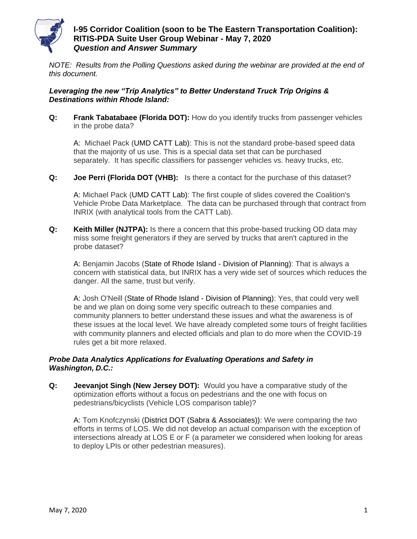

### **I-95 Corridor Coalition (soon to be The Eastern Transportation Coalition): RITIS-PDA Suite User Group Webinar - May 7, 2020** *Question and Answer Summary*

*NOTE: Results from the Polling Questions asked during the webinar are provided at the end of this document.*

### *Leveraging the new "Trip Analytics" to Better Understand Truck Trip Origins & Destinations within Rhode Island:*

**Q:** Frank Tabatabaee (Florida DOT): How do you identify trucks from passenger vehicles in the probe data?

A: Michael Pack (UMD CATT Lab): This is not the standard probe-based speed data that the majority of us use. This is a special data set that can be purchased separately. It has specific classifiers for passenger vehicles vs. heavy trucks, etc.

**Q: Joe Perri (Florida DOT (VHB):** Is there a contact for the purchase of this dataset?

A: Michael Pack (UMD CATT Lab): The first couple of slides covered the Coalition's Vehicle Probe Data Marketplace. The data can be purchased through that contract from INRIX (with analytical tools from the CATT Lab).

**Q: Keith Miller (NJTPA):** Is there a concern that this probe-based trucking OD data may miss some freight generators if they are served by trucks that aren't captured in the probe dataset?

A: Benjamin Jacobs (State of Rhode Island - Division of Planning): That is always a concern with statistical data, but INRIX has a very wide set of sources which reduces the danger. All the same, trust but verify.

A: Josh O'Neill (State of Rhode Island - Division of Planning): Yes, that could very well be and we plan on doing some very specific outreach to these companies and community planners to better understand these issues and what the awareness is of these issues at the local level. We have already completed some tours of freight facilities with community planners and elected officials and plan to do more when the COVID-19 rules get a bit more relaxed.

### *Probe Data Analytics Applications for Evaluating Operations and Safety in Washington, D.C.:*

**Q: Jeevanjot Singh (New Jersey DOT):** Would you have a comparative study of the optimization efforts without a focus on pedestrians and the one with focus on pedestrians/bicyclists (Vehicle LOS comparison table)?

A: Tom Knofczynski (District DOT (Sabra & Associates)): We were comparing the two efforts in terms of LOS. We did not develop an actual comparison with the exception of intersections already at LOS E or F (a parameter we considered when looking for areas to deploy LPIs or other pedestrian measures).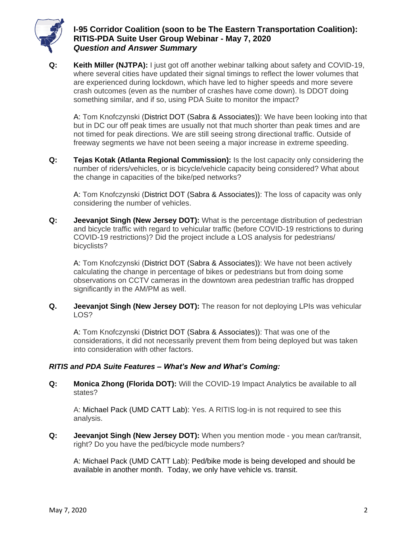

# **I-95 Corridor Coalition (soon to be The Eastern Transportation Coalition): RITIS-PDA Suite User Group Webinar - May 7, 2020** *Question and Answer Summary*

**Q: Keith Miller (NJTPA):** I just got off another webinar talking about safety and COVID-19, where several cities have updated their signal timings to reflect the lower volumes that are experienced during lockdown, which have led to higher speeds and more severe crash outcomes (even as the number of crashes have come down). Is DDOT doing something similar, and if so, using PDA Suite to monitor the impact?

A: Tom Knofczynski (District DOT (Sabra & Associates)): We have been looking into that but in DC our off peak times are usually not that much shorter than peak times and are not timed for peak directions. We are still seeing strong directional traffic. Outside of freeway segments we have not been seeing a major increase in extreme speeding.

**Q: Tejas Kotak (Atlanta Regional Commission):** Is the lost capacity only considering the number of riders/vehicles, or is bicycle/vehicle capacity being considered? What about the change in capacities of the bike/ped networks?

A: Tom Knofczynski (District DOT (Sabra & Associates)): The loss of capacity was only considering the number of vehicles.

**Q: Jeevanjot Singh (New Jersey DOT):** What is the percentage distribution of pedestrian and bicycle traffic with regard to vehicular traffic (before COVID-19 restrictions to during COVID-19 restrictions)? Did the project include a LOS analysis for pedestrians/ bicyclists?

A: Tom Knofczynski (District DOT (Sabra & Associates)): We have not been actively calculating the change in percentage of bikes or pedestrians but from doing some observations on CCTV cameras in the downtown area pedestrian traffic has dropped significantly in the AM/PM as well.

**Q. Jeevanjot Singh (New Jersey DOT):** The reason for not deploying LPIs was vehicular LOS?

A: Tom Knofczynski (District DOT (Sabra & Associates)): That was one of the considerations, it did not necessarily prevent them from being deployed but was taken into consideration with other factors.

### *RITIS and PDA Suite Features – What's New and What's Coming:*

**Q: Monica Zhong (Florida DOT):** Will the COVID-19 Impact Analytics be available to all states?

A: Michael Pack (UMD CATT Lab): Yes. A RITIS log-in is not required to see this analysis.

**Q: Jeevanjot Singh (New Jersey DOT):** When you mention mode - you mean car/transit, right? Do you have the ped/bicycle mode numbers?

A: Michael Pack (UMD CATT Lab): Ped/bike mode is being developed and should be available in another month. Today, we only have vehicle vs. transit.